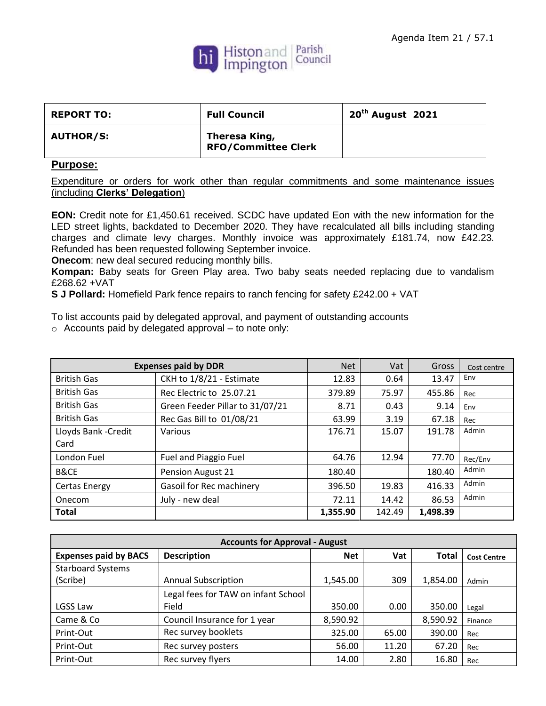

| <b>REPORT TO:</b> | <b>Full Council</b>                         | $20th$ August 2021 |
|-------------------|---------------------------------------------|--------------------|
| <b>AUTHOR/S:</b>  | Theresa King,<br><b>RFO/Committee Clerk</b> |                    |

## **Purpose:**

Expenditure or orders for work other than regular commitments and some maintenance issues (including **Clerks' Delegation**)

**EON:** Credit note for £1,450.61 received. SCDC have updated Eon with the new information for the LED street lights, backdated to December 2020. They have recalculated all bills including standing charges and climate levy charges. Monthly invoice was approximately £181.74, now £42.23. Refunded has been requested following September invoice.

**Onecom:** new deal secured reducing monthly bills.

**Kompan:** Baby seats for Green Play area. Two baby seats needed replacing due to vandalism £268.62 +VAT

**S J Pollard:** Homefield Park fence repairs to ranch fencing for safety £242.00 + VAT

To list accounts paid by delegated approval, and payment of outstanding accounts

o Accounts paid by delegated approval – to note only:

| <b>Expenses paid by DDR</b> |                                 | <b>Net</b> | Vat    | Gross    | Cost centre |
|-----------------------------|---------------------------------|------------|--------|----------|-------------|
| <b>British Gas</b>          | CKH to 1/8/21 - Estimate        | 12.83      | 0.64   | 13.47    | Env         |
| <b>British Gas</b>          | Rec Electric to 25.07.21        | 379.89     | 75.97  | 455.86   | Rec         |
| <b>British Gas</b>          | Green Feeder Pillar to 31/07/21 | 8.71       | 0.43   | 9.14     | Env         |
| <b>British Gas</b>          | Rec Gas Bill to 01/08/21        | 63.99      | 3.19   | 67.18    | Rec         |
| Lloyds Bank - Credit        | Various                         | 176.71     | 15.07  | 191.78   | Admin       |
| Card                        |                                 |            |        |          |             |
| London Fuel                 | Fuel and Piaggio Fuel           | 64.76      | 12.94  | 77.70    | Rec/Env     |
| B&CE                        | Pension August 21               | 180.40     |        | 180.40   | Admin       |
| Certas Energy               | Gasoil for Rec machinery        | 396.50     | 19.83  | 416.33   | Admin       |
| Onecom                      | July - new deal                 | 72.11      | 14.42  | 86.53    | Admin       |
| <b>Total</b>                |                                 | 1,355.90   | 142.49 | 1,498.39 |             |

| <b>Accounts for Approval - August</b> |                                     |            |       |              |                    |
|---------------------------------------|-------------------------------------|------------|-------|--------------|--------------------|
| <b>Expenses paid by BACS</b>          | <b>Description</b>                  | <b>Net</b> | Vat   | <b>Total</b> | <b>Cost Centre</b> |
| <b>Starboard Systems</b>              |                                     |            |       |              |                    |
| (Scribe)                              | <b>Annual Subscription</b>          | 1,545.00   | 309   | 1,854.00     | Admin              |
|                                       | Legal fees for TAW on infant School |            |       |              |                    |
| LGSS Law                              | Field                               | 350.00     | 0.00  | 350.00       | Legal              |
| Came & Co                             | Council Insurance for 1 year        | 8,590.92   |       | 8,590.92     | Finance            |
| Print-Out                             | Rec survey booklets                 | 325.00     | 65.00 | 390.00       | Rec                |
| Print-Out                             | Rec survey posters                  | 56.00      | 11.20 | 67.20        | Rec                |
| Print-Out                             | Rec survey flyers                   | 14.00      | 2.80  | 16.80        | Rec                |